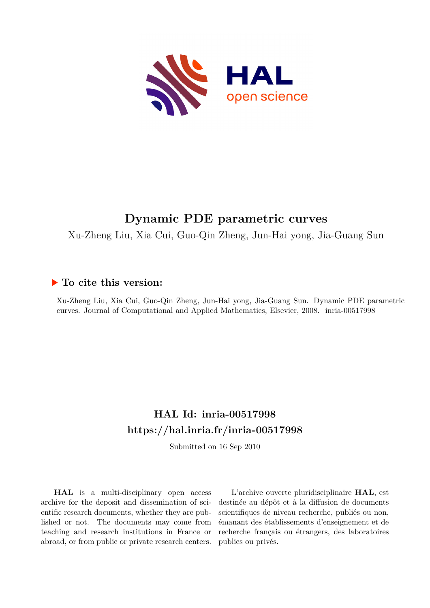

# **Dynamic PDE parametric curves**

Xu-Zheng Liu, Xia Cui, Guo-Qin Zheng, Jun-Hai yong, Jia-Guang Sun

## **To cite this version:**

Xu-Zheng Liu, Xia Cui, Guo-Qin Zheng, Jun-Hai yong, Jia-Guang Sun. Dynamic PDE parametric curves. Journal of Computational and Applied Mathematics, Elsevier, 2008. inria-00517998

## **HAL Id: inria-00517998 <https://hal.inria.fr/inria-00517998>**

Submitted on 16 Sep 2010

**HAL** is a multi-disciplinary open access archive for the deposit and dissemination of scientific research documents, whether they are published or not. The documents may come from teaching and research institutions in France or abroad, or from public or private research centers.

L'archive ouverte pluridisciplinaire **HAL**, est destinée au dépôt et à la diffusion de documents scientifiques de niveau recherche, publiés ou non, émanant des établissements d'enseignement et de recherche français ou étrangers, des laboratoires publics ou privés.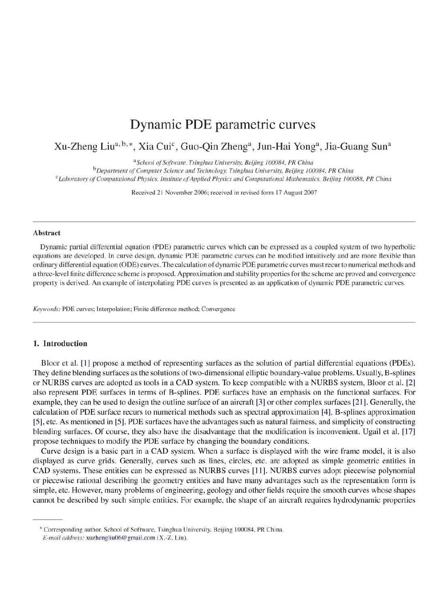## Dynamic PDE parametric curves

### Xu-Zheng Liu<sup>a, b, \*</sup>, Xia Cui<sup>c</sup>, Guo-Qin Zheng<sup>a</sup>, Jun-Hai Yong<sup>a</sup>, Jia-Guang Sun<sup>a</sup>

<sup>a</sup>School of Software, Tsinghua University, Beijing 100084, PR China

<sup>b</sup>Department of Computer Science and Technology, Tsinghua University, Beijing 100084, PR China

<sup>c</sup>Laboratory of Computational Physics, Institute of Applied Physics and Computational Mathematics, Beijing 100088, PR China

Received 21 November 2006; received in revised form 17 August 2007

#### **Abstract**

Dynamic partial differential equation (PDE) parametric curves which can be expressed as a coupled system of two hyperbolic equations are developed. In curve design, dynamic PDE parametric curves can be modified intuitively and are more flexible than ordinary differential equation (ODE) curves. The calculation of dynamic PDE parametric curves must recur to numerical methods and a three-level finite difference scheme is proposed. Approximation and stability properties for the scheme are proved and convergence property is derived. An example of interpolating PDE curves is presented as an application of dynamic PDE parametric curves.

Keywords: PDE curves; Interpolation; Finite difference method; Convergence

#### 1. Introduction

Bloor et al. [1] propose a method of representing surfaces as the solution of partial differential equations (PDEs). They define blending surfaces as the solutions of two-dimensional elliptic boundary-value problems. Usually, B-splines or NURBS curves are adopted as tools in a CAD system. To keep compatible with a NURBS system, Bloor et al. [2] also represent PDE surfaces in terms of B-splines. PDE surfaces have an emphasis on the functional surfaces. For example, they can be used to design the outline surface of an aircraft [3] or other complex surfaces [21]. Generally, the calculation of PDE surface recurs to numerical methods such as spectral approximation [4], B-splines approximation [5], etc. As mentioned in [5], PDE surfaces have the advantages such as natural fairness, and simplicity of constructing blending surfaces. Of course, they also have the disadvantage that the modification is inconvenient. Ugail et al. [17] propose techniques to modify the PDE surface by changing the boundary conditions.

Curve design is a basic part in a CAD system. When a surface is displayed with the wire frame model, it is also displayed as curve grids. Generally, curves such as lines, circles, etc. are adopted as simple geometric entities in CAD systems. These entities can be expressed as NURBS curves [11]. NURBS curves adopt piecewise polynomial or piecewise rational describing the geometry entities and have many advantages such as the representation form is simple, etc. However, many problems of engineering, geology and other fields require the smooth curves whose shapes cannot be described by such simple entities. For example, the shape of an aircraft requires hydrodynamic properties

<sup>\*</sup> Corresponding author. School of Software, Tsinghua University, Beijing 100084, PR China.

E-mail address: xuzhengliu06@gmail.com (X.-Z. Liu).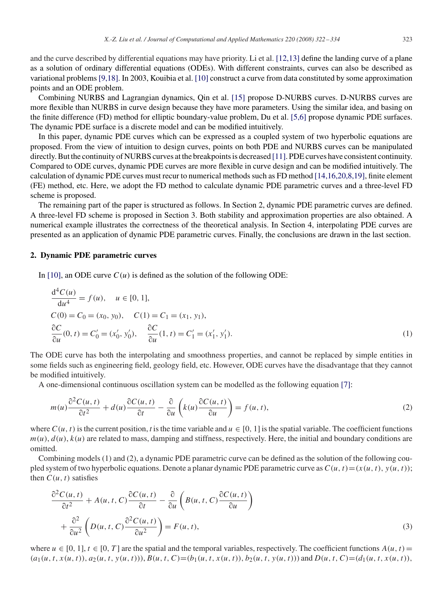and the curve described by differential equations may have priority. Li et al. [12,13] define the landing curve of a plane as a solution of ordinary differential equations (ODEs). With different constraints, curves can also be described as variational problems [9,18]. In 2003, Kouibia et al. [10] construct a curve from data constituted by some approximation points and an ODE problem.

Combining NURBS and Lagrangian dynamics, Qin et al. [15] propose D-NURBS curves. D-NURBS curves are more flexible than NURBS in curve design because they have more parameters. Using the similar idea, and basing on the finite difference (FD) method for elliptic boundary-value problem, Du et al. [5,6] propose dynamic PDE surfaces. The dynamic PDE surface is a discrete model and can be modified intuitively.

In this paper, dynamic PDE curves which can be expressed as a coupled system of two hyperbolic equations are proposed. From the view of intuition to design curves, points on both PDE and NURBS curves can be manipulated directly. But the continuity of NURBS curves at the breakpoints is decreased [11]. PDE curves have consistent continuity. Compared to ODE curves, dynamic PDE curves are more flexible in curve design and can be modified intuitively. The calculation of dynamic PDE curves must recur to numerical methods such as FD method [14,16,20,8,19], finite element (FE) method, etc. Here, we adopt the FD method to calculate dynamic PDE parametric curves and a three-level FD scheme is proposed.

The remaining part of the paper is structured as follows. In Section 2, dynamic PDE parametric curves are defined. A three-level FD scheme is proposed in Section 3. Both stability and approximation properties are also obtained. A numerical example illustrates the correctness of the theoretical analysis. In Section 4, interpolating PDE curves are presented as an application of dynamic PDE parametric curves. Finally, the conclusions are drawn in the last section.

#### **2. Dynamic PDE parametric curves**

In [10], an ODE curve  $C(u)$  is defined as the solution of the following ODE:

$$
\frac{d^4C(u)}{du^4} = f(u), \quad u \in [0, 1],
$$
  
\n
$$
C(0) = C_0 = (x_0, y_0), \quad C(1) = C_1 = (x_1, y_1),
$$
  
\n
$$
\frac{\partial C}{\partial u}(0, t) = C'_0 = (x'_0, y'_0), \quad \frac{\partial C}{\partial u}(1, t) = C'_1 = (x'_1, y'_1).
$$
\n(1)

The ODE curve has both the interpolating and smoothness properties, and cannot be replaced by simple entities in some fields such as engineering field, geology field, etc. However, ODE curves have the disadvantage that they cannot be modified intuitively.

A one-dimensional continuous oscillation system can be modelled as the following equation [7]:

$$
m(u)\frac{\partial^2 C(u,t)}{\partial t^2} + d(u)\frac{\partial C(u,t)}{\partial t} - \frac{\partial}{\partial u}\left(k(u)\frac{\partial C(u,t)}{\partial u}\right) = f(u,t),
$$
\n(2)

where  $C(u, t)$  is the current position, *t* is the time variable and  $u \in [0, 1]$  is the spatial variable. The coefficient functions  $m(u)$ ,  $d(u)$ ,  $k(u)$  are related to mass, damping and stiffness, respectively. Here, the initial and boundary conditions are omitted.

Combining models (1) and (2), a dynamic PDE parametric curve can be defined as the solution of the following coupled system of two hyperbolic equations. Denote a planar dynamic PDE parametric curve as  $C(u, t) = (x(u, t), y(u, t))$ ; then  $C(u, t)$  satisfies

$$
\frac{\partial^2 C(u,t)}{\partial t^2} + A(u,t,C) \frac{\partial C(u,t)}{\partial t} - \frac{\partial}{\partial u} \left( B(u,t,C) \frac{\partial C(u,t)}{\partial u} \right) \n+ \frac{\partial^2}{\partial u^2} \left( D(u,t,C) \frac{\partial^2 C(u,t)}{\partial u^2} \right) = F(u,t),
$$
\n(3)

where  $u \in [0, 1], t \in [0, T]$  are the spatial and the temporal variables, respectively. The coefficient functions  $A(u, t)$  $(a_1(u, t, x(u, t)), a_2(u, t, y(u, t))), B(u, t, C) = (b_1(u, t, x(u, t)), b_2(u, t, y(u, t)))$  and  $D(u, t, C) = (d_1(u, t, x(u, t)),$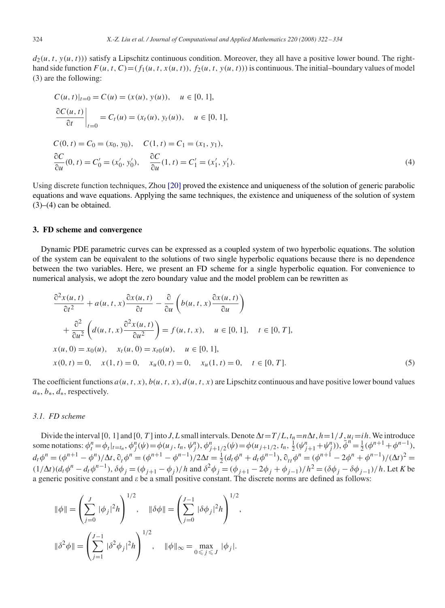$d_2(u, t, y(u, t))$ ) satisfy a Lipschitz continuous condition. Moreover, they all have a positive lower bound. The righthand side function  $F(u, t, C) = (f_1(u, t, x(u, t)), f_2(u, t, y(u, t)))$  is continuous. The initial–boundary values of model (3) are the following:

$$
C(u, t)|_{t=0} = C(u) = (x(u), y(u)), \quad u \in [0, 1],
$$
  
\n
$$
\left. \frac{\partial C(u, t)}{\partial t} \right|_{t=0} = C_t(u) = (x_t(u), y_t(u)), \quad u \in [0, 1],
$$
  
\n
$$
C(0, t) = C_0 = (x_0, y_0), \quad C(1, t) = C_1 = (x_1, y_1),
$$
  
\n
$$
\frac{\partial C}{\partial u}(0, t) = C'_0 = (x'_0, y'_0), \quad \frac{\partial C}{\partial u}(1, t) = C'_1 = (x'_1, y'_1).
$$
  
\n(4)

Using discrete function techniques, Zhou [20] proved the existence and uniqueness of the solution of generic parabolic equations and wave equations. Applying the same techniques, the existence and uniqueness of the solution of system  $(3)$ – $(4)$  can be obtained.

#### **3. FD scheme and convergence**

Dynamic PDE parametric curves can be expressed as a coupled system of two hyperbolic equations. The solution of the system can be equivalent to the solutions of two single hyperbolic equations because there is no dependence between the two variables. Here, we present an FD scheme for a single hyperbolic equation. For convenience to numerical analysis, we adopt the zero boundary value and the model problem can be rewritten as

$$
\frac{\partial^2 x(u,t)}{\partial t^2} + a(u, t, x) \frac{\partial x(u,t)}{\partial t} - \frac{\partial}{\partial u} \left( b(u, t, x) \frac{\partial x(u,t)}{\partial u} \right) \n+ \frac{\partial^2}{\partial u^2} \left( d(u, t, x) \frac{\partial^2 x(u,t)}{\partial u^2} \right) = f(u, t, x), \quad u \in [0, 1], \quad t \in [0, T],
$$
\n
$$
x(u, 0) = x_0(u), \quad x_t(u, 0) = x_{t0}(u), \quad u \in [0, 1],
$$
\n
$$
x(0, t) = 0, \quad x(1, t) = 0, \quad x_u(0, t) = 0, \quad x_u(1, t) = 0, \quad t \in [0, T].
$$
\n(5)

The coefficient functions  $a(u, t, x)$ ,  $b(u, t, x)$ ,  $d(u, t, x)$  are Lipschitz continuous and have positive lower bound values *a*∗, *b*∗, *d*∗, respectively.

#### *3.1. FD scheme*

Divide the interval [0, 1] and [0, *T*] into *J*, *L* small intervals. Denote  $\Delta t = T/L$ ,  $t_n = n\Delta t$ ,  $h = 1/J$ ,  $u_i = ih$ . We introduce some notations:  $\phi_l^n = \phi_l|_{t=t_n}, \phi_j^n(\psi) = \phi(u_j, t_n, \psi_j^n), \phi_{j+1/2}^n(\psi) = \phi(u_{j+1/2}, t_n, \frac{1}{2}(\psi_{j+1}^n + \psi_j^n)), \phi_j^n = \frac{1}{2}(\phi^{n+1} + \phi^{n-1}),$  $d_t \phi^n = (\phi^{n+1} - \phi^n)/\Delta t$ ,  $\partial_t \phi^n = (\phi^{n+1} - \phi^{n-1})/2\Delta t = \frac{1}{2}(d_t \phi^n + d_t \phi^{n-1})$ ,  $\partial_{tt} \phi^n = (\phi^{n+1} - 2\phi^n + \phi^{n-1})/(\Delta t)^2 =$  $(1/\Delta t)(d_t \phi^n - d_t \phi^{n-1}), \delta \phi_j = (\phi_{j+1} - \phi_j)/h$  and  $\delta^2 \phi_j = (\phi_{j+1} - 2\phi_j + \phi_{j-1})/h^2 = (\delta \phi_j - \delta \phi_{j-1})/h$ . Let K be a generic positive constant and  $\varepsilon$  be a small positive constant. The discrete norms are defined as follows:

$$
\|\phi\| = \left(\sum_{j=0}^{J} |\phi_j|^2 h\right)^{1/2}, \quad \|\delta\phi\| = \left(\sum_{j=0}^{J-1} |\delta\phi_j|^2 h\right)^{1/2},
$$

$$
\|\delta^2\phi\| = \left(\sum_{j=1}^{J-1} |\delta^2\phi_j|^2 h\right)^{1/2}, \quad \|\phi\|_{\infty} = \max_{0 \le j \le J} |\phi_j|.
$$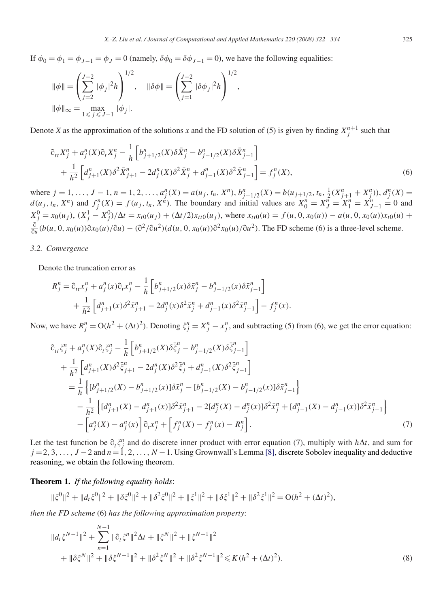If  $\phi_0 = \phi_1 = \phi_{J-1} = \phi_J = 0$  (namely,  $\delta\phi_0 = \delta\phi_{J-1} = 0$ ), we have the following equalities:

$$
\|\phi\| = \left(\sum_{j=2}^{J-2} |\phi_j|^2 h\right)^{1/2}, \quad \|\delta\phi\| = \left(\sum_{j=1}^{J-2} |\delta\phi_j|^2 h\right)^{1/2},
$$
  

$$
\|\phi\|_{\infty} = \max_{1 \le j \le J-1} |\phi_j|.
$$

Denote *X* as the approximation of the solutions *x* and the FD solution of (5) is given by finding  $X_j^{n+1}$  such that

$$
\partial_{tt} X_j^n + a_j^n(X)\partial_t X_j^n - \frac{1}{h} \left[ b_{j+1/2}^n(X)\delta \bar{X}_j^n - b_{j-1/2}^n(X)\delta \bar{X}_{j-1}^n \right] + \frac{1}{h^2} \left[ d_{j+1}^n(X)\delta^2 \bar{X}_{j+1}^n - 2d_j^n(X)\delta^2 \bar{X}_j^n + d_{j-1}^n(X)\delta^2 \bar{X}_{j-1}^n \right] = f_j^n(X),
$$
\n(6)

where  $j = 1, ..., J - 1, n = 1, 2, ..., a_j^n(X) = a(u_j, t_n, X^n), b_{j+1/2}^n(X) = b(u_{j+1/2}, t_n, \frac{1}{2}(X_{j+1}^n + X_j^n)), d_j^n(X) = b(u_{j+1/2}, t_n, \frac{1}{2}(X_{j+1}^n + X_j^n)), d_j^n(X) = b(u_{j+1/2}, t_n, \frac{1}{2}(X_{j+1}^n + X_j^n)), d_j^n(X) = b(u_{j+1/2}, t_n, \frac{1}{2}(X_{j+1}^n + X_j^n)), d_j^n(X) = b(u_{j+1/2}, t_n, \$  $d(u_j, t_n, X^n)$  and  $f_j^n(X) = f(u_j, t_n, X^n)$ . The boundary and initial values are  $X_0^n = X_j^n = X_1^n = X_{J-1}^n = 0$  and  $X_j^0 = x_0(u_j)$ ,  $(X_j^1 - X_j^0)/\Delta t = x_{t0}(u_j) + (\Delta t/2)x_{t0}(u_j)$ , where  $x_{t0}(u) = f(u, 0, x_0(u)) - a(u, 0, x_0(u))x_{t0}(u) +$  $\frac{\partial}{\partial u}(b(u, 0, x_0(u))\partial x_0(u)/\partial u) - (\partial^2/\partial u^2)(d(u, 0, x_0(u))\partial^2 x_0(u)/\partial u^2)$ . The FD scheme (6) is a three-level scheme.

#### *3.2. Convergence*

Denote the truncation error as

$$
R_j^n = \partial_{tt} x_j^n + a_j^n(x)\partial_t x_j^n - \frac{1}{h} \left[ b_{j+1/2}^n(x)\delta \bar{x}_j^n - b_{j-1/2}^n(x)\delta \bar{x}_{j-1}^n \right] + \frac{1}{h^2} \left[ d_{j+1}^n(x)\delta^2 \bar{x}_{j+1}^n - 2d_j^n(x)\delta^2 \bar{x}_j^n + d_{j-1}^n(x)\delta^2 \bar{x}_{j-1}^n \right] - f_j^n(x).
$$

Now, we have  $R_j^n = O(h^2 + (\Delta t)^2)$ . Denoting  $\xi_j^n = X_j^n - x_j^n$ , and subtracting (5) from (6), we get the error equation:

$$
\partial_{tt}\xi_{j}^{n} + a_{j}^{n}(X)\partial_{t}\xi_{j}^{n} - \frac{1}{h}\left[b_{j+1/2}^{n}(X)\delta\bar{\xi}_{j}^{n} - b_{j-1/2}^{n}(X)\delta\bar{\xi}_{j-1}^{n}\right] \n+ \frac{1}{h^{2}}\left[d_{j+1}^{n}(X)\delta^{2}\bar{\xi}_{j+1}^{n} - 2d_{j}^{n}(X)\delta^{2}\bar{\xi}_{j}^{n} + d_{j-1}^{n}(X)\delta^{2}\bar{\xi}_{j-1}^{n}\right] \n= \frac{1}{h}\left\{ [b_{j+1/2}^{n}(X) - b_{j+1/2}^{n}(x)]\delta\bar{x}_{j}^{n} - [b_{j-1/2}^{n}(X) - b_{j-1/2}^{n}(x)]\delta\bar{x}_{j-1}^{n} \right\} \n- \frac{1}{h^{2}}\left\{ [d_{j+1}^{n}(X) - d_{j+1}^{n}(x)]\delta^{2}\bar{x}_{j+1}^{n} - 2[d_{j}^{n}(X) - d_{j}^{n}(x)]\delta^{2}\bar{x}_{j}^{n} + [d_{j-1}^{n}(X) - d_{j-1}^{n}(x)]\delta^{2}\bar{x}_{j-1}^{n} \right\} \n- \left[a_{j}^{n}(X) - a_{j}^{n}(x)\right]\partial_{t}x_{j}^{n} + \left[f_{j}^{n}(X) - f_{j}^{n}(x) - R_{j}^{n}\right].
$$
\n(7)

Let the test function be  $\partial_t \xi_j^n$  and do discrete inner product with error equation (7), multiply with  $h\Delta t$ , and sum for *j* = 2, 3, ..., *J* − 2 and *n* = 1, 2, ..., *N* − 1. Using Grownwall's Lemma [8], discrete Sobolev inequality and deductive reasoning, we obtain the following theorem.

**Theorem 1.** *If the following equality holds*:

$$
\|\xi^0\|^2 + \|d_t\xi^0\|^2 + \|\delta\xi^0\|^2 + \|\delta^2\xi^0\|^2 + \|\xi^1\|^2 + \|\delta\xi^1\|^2 + \|\delta^2\xi^1\|^2 = O(h^2 + (\Delta t)^2),
$$

*then the FD scheme* (6) *has the following approximation property*:

$$
||d_t \xi^{N-1}||^2 + \sum_{n=1}^{N-1} ||\partial_t \xi^n||^2 \Delta t + ||\xi^N||^2 + ||\xi^{N-1}||^2
$$
  
+ 
$$
||\delta \xi^N||^2 + ||\delta \xi^{N-1}||^2 + ||\delta^2 \xi^N||^2 + ||\delta^2 \xi^{N-1}||^2 \le K(h^2 + (\Delta t)^2).
$$
 (8)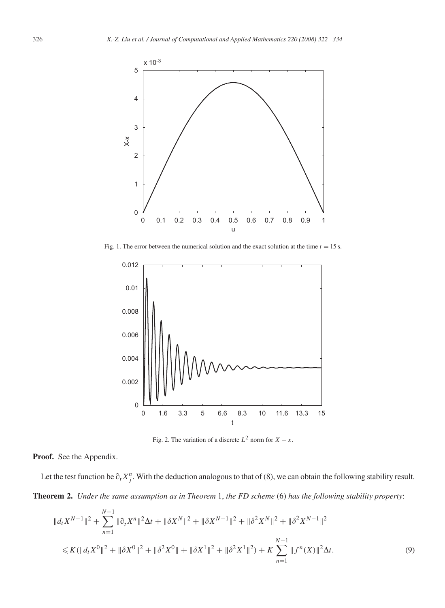

Fig. 1. The error between the numerical solution and the exact solution at the time  $t = 15$  s.



Fig. 2. The variation of a discrete  $L^2$  norm for  $X - x$ .

**Proof.** See the Appendix.

Let the test function be  $\partial_t X_j^n$ . With the deduction analogous to that of (8), we can obtain the following stability result. **Theorem 2.** *Under the same assumption as in Theorem* 1, *the FD scheme* (6) *has the following stability property*:

$$
||d_t X^{N-1}||^2 + \sum_{n=1}^{N-1} ||\partial_t X^n||^2 \Delta t + ||\delta X^N||^2 + ||\delta X^{N-1}||^2 + ||\delta^2 X^N||^2 + ||\delta^2 X^{N-1}||^2
$$
  

$$
\leq K(||d_t X^0||^2 + ||\delta X^0||^2 + ||\delta^2 X^0|| + ||\delta X^1||^2 + ||\delta^2 X^1||^2) + K \sum_{n=1}^{N-1} ||f^n(X)||^2 \Delta t.
$$
 (9)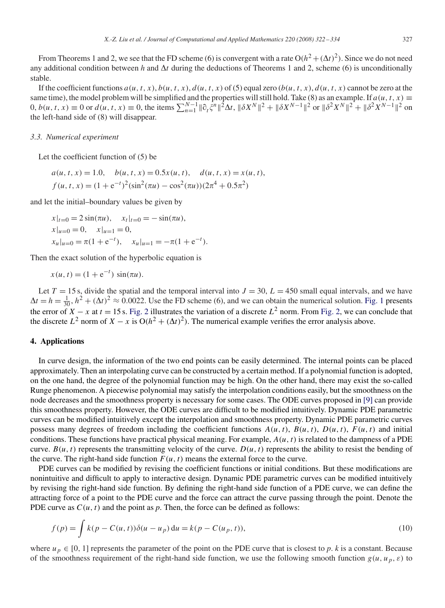From Theorems 1 and 2, we see that the FD scheme (6) is convergent with a rate  $O(h^2 + (\Delta t)^2)$ . Since we do not need any additional condition between *h* and  $\Delta t$  during the deductions of Theorems 1 and 2, scheme (6) is unconditionally stable.

If the coefficient functions  $a(u, t, x)$ ,  $b(u, t, x)$ ,  $d(u, t, x)$  of (5) equal zero  $(b(u, t, x), d(u, t, x))$  cannot be zero at the same time), the model problem will be simplified and the properties will still hold. Take (8) as an example. If  $a(u, t, x) \equiv$ 0,  $b(u, t, x) \equiv 0$  or  $d(u, t, x) \equiv 0$ , the items  $\sum_{n=1}^{N-1} ||\partial_t \xi^n||^2 \Delta t$ ,  $||\delta X^N||^2 + ||\delta X^{N-1}||^2$  or  $||\delta^2 X^N||^2 + ||\delta^2 X^{N-1}||^2$  on the left-hand side of (8) will disappear.

#### *3.3. Numerical experiment*

Let the coefficient function of (5) be

$$
a(u, t, x) = 1.0, \quad b(u, t, x) = 0.5x(u, t), \quad d(u, t, x) = x(u, t),
$$

$$
f(u, t, x) = (1 + e^{-t})^2 (\sin^2(\pi u) - \cos^2(\pi u)) (2\pi^4 + 0.5\pi^2)
$$

and let the initial–boundary values be given by

$$
x|_{t=0} = 2\sin(\pi u), \quad x_l|_{t=0} = -\sin(\pi u),
$$
  
\n
$$
x|_{u=0} = 0, \quad x|_{u=1} = 0,
$$
  
\n
$$
x_u|_{u=0} = \pi(1 + e^{-t}), \quad x_u|_{u=1} = -\pi(1 + e^{-t}).
$$

Then the exact solution of the hyperbolic equation is

$$
x(u, t) = (1 + e^{-t}) \sin(\pi u).
$$

Let  $T = 15$  s, divide the spatial and the temporal interval into  $J = 30$ ,  $L = 450$  small equal intervals, and we have  $\Delta t = h = \frac{1}{30}, h^2 + (\Delta t)^2 \approx 0.0022$ . Use the FD scheme (6), and we can obtain the numerical solution. Fig. 1 presents the error of *X* − *x* at *t* = 15 s. Fig. 2 illustrates the variation of a discrete  $L^2$  norm. From Fig. 2, we can conclude that the discrete  $L^2$  norm of  $X - x$  is  $O(h^2 + (\Delta t)^2)$ . The numerical example verifies the error analysis above.

#### **4. Applications**

In curve design, the information of the two end points can be easily determined. The internal points can be placed approximately. Then an interpolating curve can be constructed by a certain method. If a polynomial function is adopted, on the one hand, the degree of the polynomial function may be high. On the other hand, there may exist the so-called Runge phenomenon. A piecewise polynomial may satisfy the interpolation conditions easily, but the smoothness on the node decreases and the smoothness property is necessary for some cases. The ODE curves proposed in [9] can provide this smoothness property. However, the ODE curves are difficult to be modified intuitively. Dynamic PDE parametric curves can be modified intuitively except the interpolation and smoothness property. Dynamic PDE parametric curves possess many degrees of freedom including the coefficient functions  $A(u, t)$ ,  $B(u, t)$ ,  $D(u, t)$ ,  $F(u, t)$  and initial conditions. These functions have practical physical meaning. For example, *A(u, t)* is related to the dampness of a PDE curve.  $B(u, t)$  represents the transmitting velocity of the curve.  $D(u, t)$  represents the ability to resist the bending of the curve. The right-hand side function  $F(u, t)$  means the external force to the curve.

PDE curves can be modified by revising the coefficient functions or initial conditions. But these modifications are nonintuitive and difficult to apply to interactive design. Dynamic PDE parametric curves can be modified intuitively by revising the right-hand side function. By defining the right-hand side function of a PDE curve, we can define the attracting force of a point to the PDE curve and the force can attract the curve passing through the point. Denote the PDE curve as  $C(u, t)$  and the point as  $p$ . Then, the force can be defined as follows:

$$
f(p) = \int k(p - C(u, t)) \delta(u - u_p) \, du = k(p - C(u_p, t)),
$$
\n(10)

where  $u_p \in [0, 1]$  represents the parameter of the point on the PDE curve that is closest to p. *k* is a constant. Because of the smoothness requirement of the right-hand side function, we use the following smooth function  $g(u, u_p, \varepsilon)$  to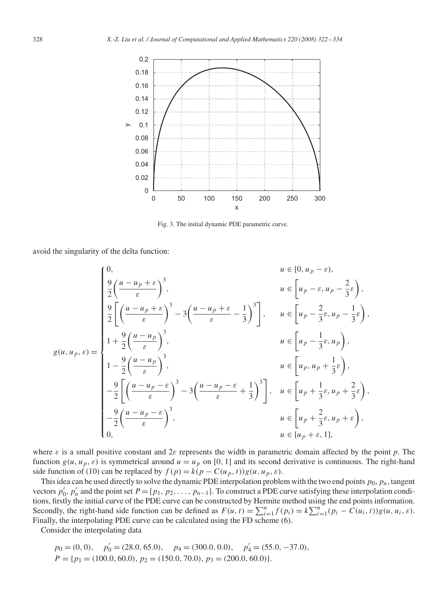

Fig. 3. The initial dynamic PDE parametric curve.

avoid the singularity of the delta function:

$$
g(u, u_p, \varepsilon) = \begin{cases} 0, & u \in [0, u_p - \varepsilon), \\ \frac{9}{2} \left( \frac{u - u_p + \varepsilon}{\varepsilon} \right)^3, & u \in \left[ u_p - \varepsilon, u_p - \frac{2}{3} \varepsilon \right), \\ \frac{9}{2} \left[ \left( \frac{u - u_p + \varepsilon}{\varepsilon} \right)^3 - 3 \left( \frac{u - u_p + \varepsilon}{\varepsilon} - \frac{1}{3} \right)^3 \right], & u \in \left[ u_p - \frac{2}{3} \varepsilon, u_p - \frac{1}{3} \varepsilon \right), \\ 1 + \frac{9}{2} \left( \frac{u - u_p}{\varepsilon} \right)^3, & u \in \left[ u_p - \frac{1}{3} \varepsilon, u_p \right), \\ 1 - \frac{9}{2} \left( \frac{u - u_p}{\varepsilon} \right)^3, & u \in \left[ u_p, u_p + \frac{1}{3} \varepsilon \right), \\ - \frac{9}{2} \left[ \left( \frac{u - u_p - \varepsilon}{\varepsilon} \right)^3 - 3 \left( \frac{u - u_p - \varepsilon}{\varepsilon} + \frac{1}{3} \right)^3 \right], & u \in \left[ u_p + \frac{1}{3} \varepsilon, u_p + \frac{2}{3} \varepsilon \right), \\ 0, & u \in \left[ u_p + \frac{2}{3} \varepsilon, u_p + \varepsilon \right), \\ 0, & u \in \left[ u_p + \varepsilon, 1 \right], \end{cases}
$$

where *ε* is a small positive constant and 2*ε* represents the width in parametric domain affected by the point *p*. The function  $g(u, u_p, \varepsilon)$  is symmetrical around  $u = u_p$  on [0, 1] and its second derivative is continuous. The right-hand side function of (10) can be replaced by  $f(p) = k(p - C(u_p, t))g(u, u_p, \varepsilon)$ .

This idea can be used directly to solve the dynamic PDE interpolation problem with the two end points  $p_0$ ,  $p_n$ , tangent vectors  $p'_0$ ,  $p'_n$  and the point set  $P = \{p_1, p_2, \ldots, p_{n-1}\}$ . To construct a PDE curve satisfying these interpolation conditions, firstly the initial curve of the PDE curve can be constructed by Hermite method using the end points information. Secondly, the right-hand side function can be defined as  $F(u, t) = \sum_{i=1}^{n} f(p_i) = k \sum_{i=1}^{n} (p_i - C(u_i, t)) g(u, u_i, \varepsilon)$ . Finally, the interpolating PDE curve can be calculated using the FD scheme (6).

Consider the interpolating data

$$
p_0 = (0, 0),
$$
  $p'_0 = (28.0, 65.0),$   $p_4 = (300.0, 0.0),$   $p'_4 = (55.0, -37.0),$   
\n $P = \{p_1 = (100.0, 60.0), p_2 = (150.0, 70.0), p_3 = (200.0, 60.0)\}.$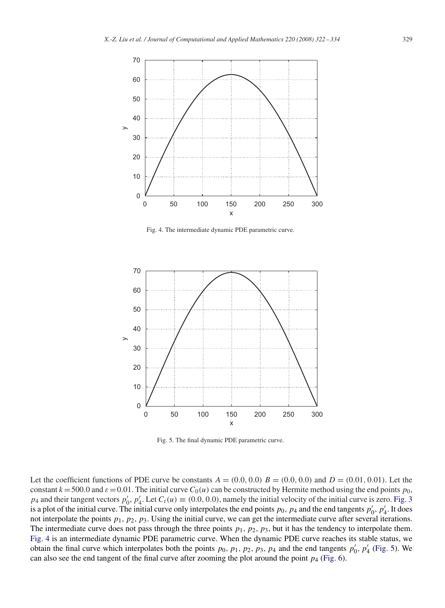

Fig. 4. The intermediate dynamic PDE parametric curve.



Fig. 5. The final dynamic PDE parametric curve.

Let the coefficient functions of PDE curve be constants  $A = (0.0, 0.0)$   $B = (0.0, 0.0)$  and  $D = (0.01, 0.01)$ . Let the constant  $k = 500.0$  and  $\varepsilon = 0.01$ . The initial curve  $C_0(u)$  can be constructed by Hermite method using the end points  $p_0$ , *p*<sub>4</sub> and their tangent vectors  $p'_0$ ,  $p'_4$ . Let  $C_t(u) \equiv (0.0, 0.0)$ , namely the initial velocity of the initial curve is zero. Fig. 3 is a plot of the initial curve. The initial curve only interpolates the end points  $p_0$ ,  $p_4$  and the end tangents  $p'_0$ ,  $p'_4$ . It does not interpolate the points *p*1*, p*2*, p*3. Using the initial curve, we can get the intermediate curve after several iterations. The intermediate curve does not pass through the three points  $p_1$ ,  $p_2$ ,  $p_3$ , but it has the tendency to interpolate them. Fig. 4 is an intermediate dynamic PDE parametric curve. When the dynamic PDE curve reaches its stable status, we obtain the final curve which interpolates both the points  $p_0$ ,  $p_1$ ,  $p_2$ ,  $p_3$ ,  $p_4$  and the end tangents  $p'_0$ ,  $p'_4$  (Fig. 5). We can also see the end tangent of the final curve after zooming the plot around the point  $p_4$  (Fig. 6).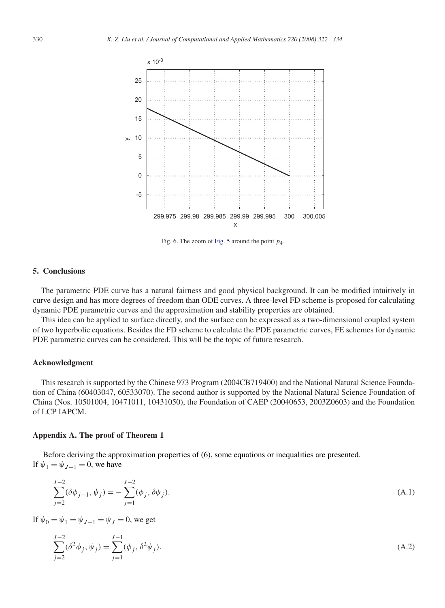

Fig. 6. The zoom of Fig. 5 around the point *p*4.

#### **5. Conclusions**

The parametric PDE curve has a natural fairness and good physical background. It can be modified intuitively in curve design and has more degrees of freedom than ODE curves. A three-level FD scheme is proposed for calculating dynamic PDE parametric curves and the approximation and stability properties are obtained.

This idea can be applied to surface directly, and the surface can be expressed as a two-dimensional coupled system of two hyperbolic equations. Besides the FD scheme to calculate the PDE parametric curves, FE schemes for dynamic PDE parametric curves can be considered. This will be the topic of future research.

#### **Acknowledgment**

This research is supported by the Chinese 973 Program (2004CB719400) and the National Natural Science Foundation of China (60403047, 60533070). The second author is supported by the National Natural Science Foundation of China (Nos. 10501004, 10471011, 10431050), the Foundation of CAEP (20040653, 2003Z0603) and the Foundation of LCP IAPCM.

#### **Appendix A. The proof of Theorem 1**

Before deriving the approximation properties of (6), some equations or inequalities are presented. If  $\psi_1 = \psi_{I-1} = 0$ , we have

$$
\sum_{j=2}^{J-2} (\delta \phi_{j-1}, \psi_j) = -\sum_{j=1}^{J-2} (\phi_j, \delta \psi_j).
$$
\n(A.1)

If  $\psi_0 = \psi_1 = \psi_{1-1} = \psi_1 = 0$ , we get

$$
\sum_{j=2}^{J-2} (\delta^2 \phi_j, \psi_j) = \sum_{j=1}^{J-1} (\phi_j, \delta^2 \psi_j).
$$
 (A.2)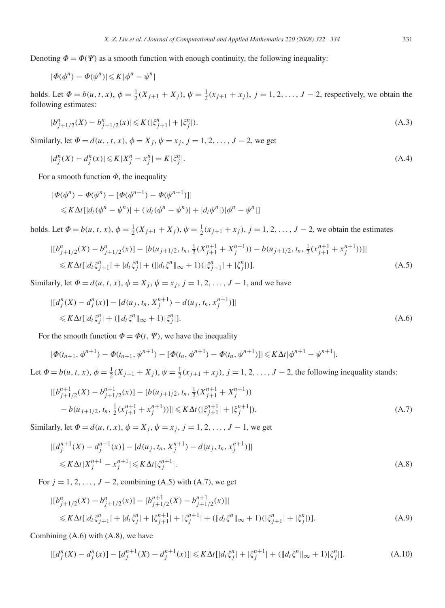Denoting  $\Phi = \Phi(\Psi)$  as a smooth function with enough continuity, the following inequality:

$$
|\varPhi(\phi^n)-\varPhi(\psi^n)|\!\leqslant\! K|\phi^n-\psi^n|
$$

holds. Let  $\Phi = b(u, t, x)$ ,  $\phi = \frac{1}{2}(X_{j+1} + X_j)$ ,  $\psi = \frac{1}{2}(x_{j+1} + x_j)$ ,  $j = 1, 2, ..., J - 2$ , respectively, we obtain the following estimates:

$$
|b_{j+1/2}^n(X) - b_{j+1/2}^n(x)| \le K(|\xi_{j+1}^n| + |\xi_j^n|). \tag{A.3}
$$

Similarly, let  $\Phi = d(u, t, x)$ ,  $\phi = X_j$ ,  $\psi = x_j$ ,  $j = 1, 2, ..., J - 2$ , we get

$$
|d_j^n(X) - d_j^n(x)| \le K|X_j^n - x_j^n| = K|\xi_j^n|.
$$
\n(A.4)

For a smooth function  $\Phi$ , the inequality

$$
|\Phi(\phi^n) - \Phi(\psi^n) - [\Phi(\phi^{n+1}) - \Phi(\psi^{n+1})]|
$$
  
\$\leq K\Delta t[\left|d\_t(\phi^n - \psi^n)\right| + (\left|d\_t(\phi^n - \psi^n)\right| + \left|d\_t\psi^n\right|)(\phi^n - \psi^n)]

holds. Let  $\Phi = b(u, t, x)$ ,  $\phi = \frac{1}{2}(X_{j+1} + X_j)$ ,  $\psi = \frac{1}{2}(x_{j+1} + x_j)$ ,  $j = 1, 2, ..., J - 2$ , we obtain the estimates

$$
|[b_{j+1/2}^n(X) - b_{j+1/2}^n(x)] - [b(u_{j+1/2}, t_n, \frac{1}{2}(X_{j+1}^{n+1} + X_j^{n+1})) - b(u_{j+1/2}, t_n, \frac{1}{2}(X_{j+1}^{n+1} + X_j^{n+1}))]|
$$
  
\n
$$
\leq K \Delta t [|d_t \xi_{j+1}^n| + |d_t \xi_j^n| + (||d_t \xi^n||_{\infty} + 1)(|\xi_{j+1}^n| + |\xi_j^n|)].
$$
\n(A.5)

Similarly, let  $\Phi = d(u, t, x), \phi = X_j, \psi = x_j, j = 1, 2, ..., J - 1$ , and we have

$$
|[d_j^n(X) - d_j^n(x)] - [d(u_j, t_n, X_j^{n+1}) - d(u_j, t_n, x_j^{n+1})]|
$$
  
\n
$$
\leq K \Delta t [|d_t \xi_j^n| + (||d_t \xi^n||_{\infty} + 1)|\xi_j^n|].
$$
\n(A.6)

For the smooth function  $\Phi = \Phi(t, \Psi)$ , we have the inequality

$$
|\Phi(t_{n+1},\phi^{n+1}) - \Phi(t_{n+1},\psi^{n+1}) - [\Phi(t_n,\phi^{n+1}) - \Phi(t_n,\psi^{n+1})]| \leq K\Delta t |\phi^{n+1} - \psi^{n+1}|.
$$

Let  $\Phi = b(u, t, x)$ ,  $\phi = \frac{1}{2}(X_{j+1} + X_j)$ ,  $\psi = \frac{1}{2}(x_{j+1} + x_j)$ ,  $j = 1, 2, ..., J-2$ , the following inequality stands:

$$
|[b_{j+1/2}^{n+1}(X) - b_{j+1/2}^{n+1}(x)] - [b(u_{j+1/2}, t_n, \frac{1}{2}(X_{j+1}^{n+1} + X_j^{n+1}))
$$
  

$$
- b(u_{j+1/2}, t_n, \frac{1}{2}(x_{j+1}^{n+1} + x_j^{n+1}))] | \leq K \Delta t (|\xi_{j+1}^{n+1}| + |\xi_j^{n+1}|). \tag{A.7}
$$

Similarly, let  $\Phi = d(u, t, x), \phi = X_j, \psi = x_j, j = 1, 2, ..., J - 1$ , we get

$$
|[d_j^{n+1}(X) - d_j^{n+1}(x)] - [d(u_j, t_n, X_j^{n+1}) - d(u_j, t_n, x_j^{n+1})]|
$$
  
\$\leq K \Delta t | X\_j^{n+1} - x\_j^{n+1} | \leq K \Delta t | \xi\_j^{n+1} |. \tag{A.8}

For  $j = 1, 2, \ldots, J - 2$ , combining (A.5) with (A.7), we get

$$
| [b_{j+1/2}^n(X) - b_{j+1/2}^n(x)] - [b_{j+1/2}^{n+1}(X) - b_{j+1/2}^{n+1}(x)] |
$$
  
\n
$$
\leq K \Delta t [ |d_t \xi_{j+1}^n| + |d_t \xi_j^n| + |\xi_{j+1}^{n+1}| + |\xi_j^{n+1}| + (||d_t \xi^n||_{\infty} + 1)(|\xi_{j+1}^n| + |\xi_j^n|)]. \tag{A.9}
$$

Combining (A.6) with (A.8), we have

$$
|[d_j^n(X) - d_j^n(x)] - [d_j^{n+1}(X) - d_j^{n+1}(x)]| \le K\Delta t[|d_t\xi_j^n| + |\xi_j^{n+1}| + (||d_t\xi^n||_{\infty} + 1)|\xi_j^n|].\tag{A.10}
$$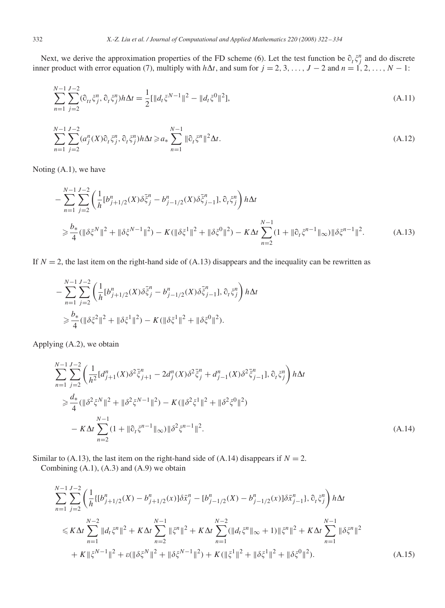Next, we derive the approximation properties of the FD scheme (6). Let the test function be  $\partial_t \xi_j^n$  and do discrete inner product with error equation (7), multiply with  $h\Delta t$ , and sum for  $j = 2, 3, ..., J - 2$  and  $n = 1, 2, ..., N - 1$ :

$$
\sum_{n=1}^{N-1} \sum_{j=2}^{J-2} (\partial_{tt} \xi_j^n, \partial_t \xi_j^n) h \Delta t = \frac{1}{2} [\|d_t \xi^{N-1}\|^2 - \|d_t \xi^0\|^2], \tag{A.11}
$$

$$
\sum_{n=1}^{N-1} \sum_{j=2}^{J-2} (a_j^n(X)\hat{c}_t \xi_j^n, \hat{c}_t \xi_j^n) h \Delta t \ge a_* \sum_{n=1}^{N-1} \|\hat{c}_t \xi^n\|^2 \Delta t.
$$
\n(A.12)

Noting (A.1), we have

$$
-\sum_{n=1}^{N-1} \sum_{j=2}^{J-2} \left( \frac{1}{h} [b_{j+1/2}^n(X) \delta \bar{\xi}_j^n - b_{j-1/2}^n(X) \delta \bar{\xi}_{j-1}^n], \partial_t \xi_j^n \right) h \Delta t
$$
  
\n
$$
\geq \frac{b_*}{4} (\|\delta \xi^N\|^2 + \|\delta \xi^{N-1}\|^2) - K (\|\delta \xi^1\|^2 + \|\delta \xi^0\|^2) - K \Delta t \sum_{n=2}^{N-1} (1 + \|\partial_t \xi^{n-1}\|_{\infty}) \|\delta \xi^{n-1}\|^2.
$$
 (A.13)

If  $N = 2$ , the last item on the right-hand side of (A.13) disappears and the inequality can be rewritten as

$$
-\sum_{n=1}^{N-1}\sum_{j=2}^{J-2}\left(\frac{1}{h}[b_{j+1/2}^n(X)\delta\bar{\xi}_j^n-b_{j-1/2}^n(X)\delta\bar{\xi}_{j-1}^n],\partial_t\xi_j^n\right)h\Delta t
$$
  

$$
\geq \frac{b_*}{4}(\|\delta\xi^2\|^2+\|\delta\xi^1\|^2)-K(\|\delta\xi^1\|^2+\|\delta\xi^0\|^2).
$$

Applying (A.2), we obtain

$$
\sum_{n=1}^{N-1} \sum_{j=2}^{J-2} \left( \frac{1}{h^2} [d_{j+1}^n(X) \delta^2 \bar{\xi}_{j+1}^n - 2d_j^n(X) \delta^2 \bar{\xi}_j^n + d_{j-1}^n(X) \delta^2 \bar{\xi}_{j-1}^n], \partial_t \xi_j^n \right) h \Delta t
$$
  
\n
$$
\geq \frac{d_*}{4} (\|\delta^2 \xi^N\|^2 + \|\delta^2 \xi^{N-1}\|^2) - K(\|\delta^2 \xi^1\|^2 + \|\delta^2 \xi^0\|^2)
$$
  
\n
$$
- K \Delta t \sum_{n=2}^{N-1} (1 + \|\partial_t \xi^{n-1}\|_{\infty}) \|\delta^2 \xi^{n-1}\|^2.
$$
 (A.14)

Similar to (A.13), the last item on the right-hand side of (A.14) disappears if  $N = 2$ .

Combining  $(A.1)$ ,  $(A.3)$  and  $(A.9)$  we obtain

$$
\sum_{n=1}^{N-1} \sum_{j=2}^{J-2} \left( \frac{1}{h} \{ [b_{j+1/2}^n(X) - b_{j+1/2}^n(x)] \delta \bar{x}_j^n - [b_{j-1/2}^n(X) - b_{j-1/2}^n(x)] \delta \bar{x}_{j-1}^n \}, \partial_t \xi_j^n \right) h \Delta t
$$
\n
$$
\leq K \Delta t \sum_{n=1}^{N-2} \| d_t \xi^n \|^2 + K \Delta t \sum_{n=2}^{N-1} \| \xi^n \|^2 + K \Delta t \sum_{n=1}^{N-2} (\| d_t \xi^n \|_{\infty} + 1) \| \xi^n \|^2 + K \Delta t \sum_{n=1}^{N-1} \| \delta \xi^n \|^2
$$
\n
$$
+ K \| \xi^{N-1} \|^2 + \varepsilon (\| \delta \xi^N \|^2 + \| \delta \xi^{N-1} \|^2) + K (\| \xi^1 \|^2 + \| \delta \xi^1 \|^2 + \| \delta \xi^0 \|^2). \tag{A.15}
$$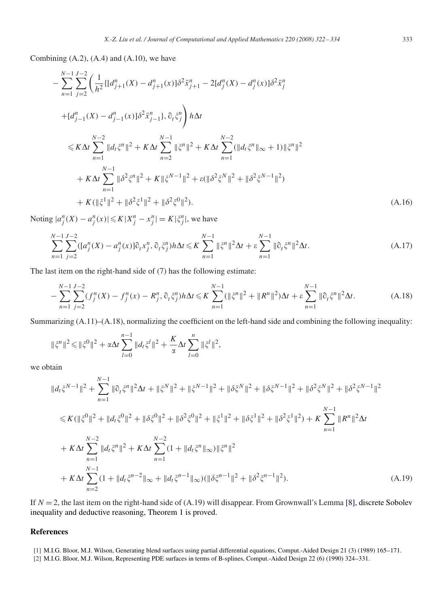Combining  $(A.2)$ ,  $(A.4)$  and  $(A.10)$ , we have

$$
-\sum_{n=1}^{N-1} \sum_{j=2}^{J-2} \left( \frac{1}{h^2} \{ [d_{j+1}^n(X) - d_{j+1}^n(x)] \delta^2 \bar{x}_{j+1}^n - 2 [d_j^n(X) - d_j^n(x)] \delta^2 \bar{x}_j^n \right) + [d_{j-1}^n(X) - d_{j-1}^n(x)] \delta^2 \bar{x}_{j-1}^n, \partial_t \xi_j^n \right) h \Delta t
$$
  
\n
$$
\leq K \Delta t \sum_{n=1}^{N-2} ||d_t \xi^n||^2 + K \Delta t \sum_{n=2}^{N-1} ||\xi^n||^2 + K \Delta t \sum_{n=1}^{N-2} (||d_t \xi^n||_{\infty} + 1) ||\xi^n||^2
$$
  
\n
$$
+ K \Delta t \sum_{n=1}^{N-1} ||\delta^2 \xi^n||^2 + K ||\xi^{N-1}||^2 + \varepsilon (||\delta^2 \xi^N||^2 + ||\delta^2 \xi^{N-1}||^2)
$$
  
\n
$$
+ K (||\xi^1||^2 + ||\delta^2 \xi^1||^2 + ||\delta^2 \xi^0||^2).
$$
 (A.16)

Noting  $|a_j^n(X) - a_j^n(x)| \le K|X_j^n - x_j^n| = K|\xi_j^n|$ , we have

$$
\sum_{n=1}^{N-1} \sum_{j=2}^{J-2} ([a_j^n(X) - a_j^n(x)] \partial_t x_j^n, \partial_t \xi_j^n) h \Delta t \leq K \sum_{n=1}^{N-1} \|\xi^n\|^2 \Delta t + \varepsilon \sum_{n=1}^{N-1} \|\partial_t \xi^n\|^2 \Delta t.
$$
 (A.17)

The last item on the right-hand side of (7) has the following estimate:

$$
-\sum_{n=1}^{N-1} \sum_{j=2}^{J-2} (f_j^n(X) - f_j^n(x) - R_j^n, \partial_t \xi_j^n) h \Delta t \le K \sum_{n=1}^{N-1} (\|\xi^n\|^2 + \|R^n\|^2) \Delta t + \varepsilon \sum_{n=1}^{N-1} \|\partial_t \xi^n\|^2 \Delta t.
$$
 (A.18)

Summarizing (A.11)–(A.18), normalizing the coefficient on the left-hand side and combining the following inequality:

$$
\|\xi^n\|^2 \le \|\xi^0\|^2 + \alpha \Delta t \sum_{l=0}^{n-1} \|d_l \xi^l\|^2 + \frac{K}{\alpha} \Delta t \sum_{l=0}^n \|\xi^l\|^2,
$$

we obtain

$$
||d_t \xi^{N-1}||^2 + \sum_{n=1}^{N-1} ||\partial_t \xi^n||^2 \Delta t + ||\xi^N||^2 + ||\xi^{N-1}||^2 + ||\delta\xi^N||^2 + ||\delta\xi^{N-1}||^2 + ||\delta^2\xi^N||^2 + ||\delta^2\xi^N||^2 + ||\delta^2\xi^{N-1}||^2
$$
  
\n
$$
\leq K(||\xi^0||^2 + ||d_t\xi^0||^2 + ||\delta\xi^0||^2 + ||\delta^2\xi^0||^2 + ||\xi^1||^2 + ||\delta\xi^1||^2 + ||\delta^2\xi^1||^2 + ||\delta^2\xi^1||^2) + K \sum_{n=1}^{N-1} ||R^n||^2 \Delta t
$$
  
\n+  $K \Delta t \sum_{n=1}^{N-2} ||d_t \xi^n||^2 + K \Delta t \sum_{n=1}^{N-2} (1 + ||d_t \xi^n||_{\infty}) ||\xi^n||^2$   
\n+  $K \Delta t \sum_{n=2}^{N-1} (1 + ||d_t \xi^{n-2}||_{\infty} + ||d_t \xi^{n-1}||_{\infty}) (||\delta\xi^{n-1}||^2 + ||\delta^2\xi^{n-1}||^2).$  (A.19)

If *N* = 2, the last item on the right-hand side of (A.19) will disappear. From Grownwall's Lemma [8], discrete Sobolev inequality and deductive reasoning, Theorem 1 is proved.

#### **References**

- [1] M.I.G. Bloor, M.J. Wilson, Generating blend surfaces using partial differential equations, Comput.-Aided Design 21 (3) (1989) 165–171.
- [2] M.I.G. Bloor, M.J. Wilson, Representing PDE surfaces in terms of B-splines, Comput.-Aided Design 22 (6) (1990) 324–331.